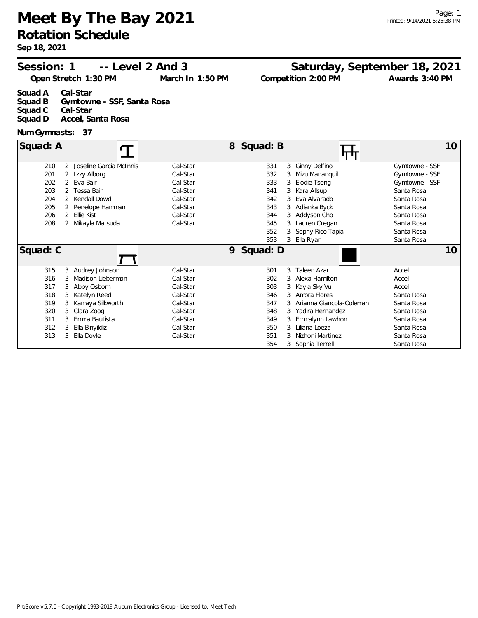**Meet By The Bay 2021 Rotation Schedule**

**Sep 18, 2021**

#### **Session: 1 Saturday, September 18, 2021 Level 2 And 3 --**

**Open Stretch 1:30 PM Compared March In 1:50 PM** 

**Competition 2:00 PM Awards** 3:40 PM

**Squad A Cal-Star Squad B Gymtowne - SSF, Santa Rosa Squad C Cal-Star Squad D Accel, Santa Rosa**

#### **Num Gymnasts: 37**

| Squad: A |   |                         | 8        | Squad: B |   | بر با                    |                | 10 |
|----------|---|-------------------------|----------|----------|---|--------------------------|----------------|----|
| 210      | 2 | Joseline Garcia McInnis | Cal-Star | 331      | 3 | Ginny Delfino            | Gymtowne - SSF |    |
| 201      | 2 | Izzy Alborg             | Cal-Star | 332      |   | Mizu Mananquil           | Gymtowne - SSF |    |
| 202      |   | 2 Eva Bair              | Cal-Star | 333      |   | Elodie Tseng             | Gymtowne - SSF |    |
| 203      |   | 2 Tessa Bair            | Cal-Star | 341      |   | Kara Allsup              | Santa Rosa     |    |
| 204      |   | Kendall Dowd            | Cal-Star | 342      |   | Eva Alvarado             | Santa Rosa     |    |
| 205      |   | Penelope Hamman         | Cal-Star | 343      |   | Adianka Byck             | Santa Rosa     |    |
| 206      | 2 | Ellie Kist              | Cal-Star | 344      | 3 | Addyson Cho              | Santa Rosa     |    |
| 208      |   | 2 Mikayla Matsuda       | Cal-Star | 345      | 3 | Lauren Cregan            | Santa Rosa     |    |
|          |   |                         |          | 352      |   | Sophy Rico Tapia         | Santa Rosa     |    |
|          |   |                         |          | 353      |   | Ella Ryan                | Santa Rosa     |    |
|          |   |                         |          |          |   |                          |                |    |
| Squad: C |   |                         | 9        | Squad: D |   |                          |                | 10 |
| 315      |   | 3 Audrey Johnson        | Cal-Star | 301      | 3 | Taleen Azar              | Accel          |    |
| 316      | 3 | Madison Lieberman       | Cal-Star | 302      | 3 | Alexa Hamilton           | Accel          |    |
| 317      | 3 | Abby Osborn             | Cal-Star | 303      |   | Kayla Sky Vu             | Accel          |    |
| 318      | 3 | Katelyn Reed            | Cal-Star | 346      |   | Amora Flores             | Santa Rosa     |    |
| 319      | 3 | Kamaya Silkworth        | Cal-Star | 347      |   | Arianna Giancola-Coleman | Santa Rosa     |    |
| 320      | 3 | Clara Zoog              | Cal-Star | 348      |   | Yadira Hernandez         | Santa Rosa     |    |
| 311      |   | Emma Bautista           | Cal-Star | 349      |   | Emmalynn Lawhon          | Santa Rosa     |    |
| 312      |   | Ella Binyildiz          | Cal-Star | 350      | 3 | Liliana Loeza            | Santa Rosa     |    |
| 313      |   | Ella Doyle              | Cal-Star | 351      |   | Nizhoni Martinez         | Santa Rosa     |    |